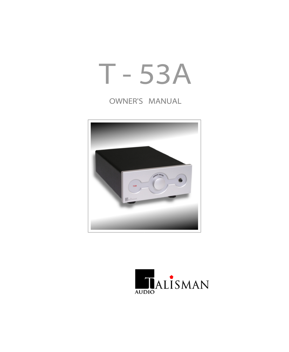# T - 53A

## OWNER'S MANUAL



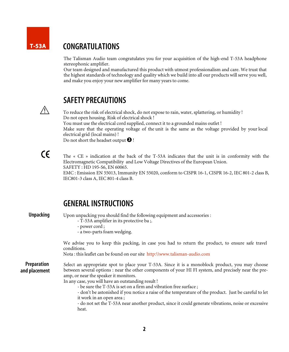#### CONGRATULATIONS T-53A

The Talisman Audio team congratulates you for your acquisition of the high-end T-53A headphone stereophonic amplifier.

Our team designed and manufactured this product with utmost professionalism and care. We trust that the highest standards of technology and quality which we build into all our products will serve you well, and make you enjoy your new amplifier for many years to come.



#### SAFETY PRECAUTIONS

To reduce the risk of electrical shock, do not expose to rain, water, splattering, or humidity ! Do not open housing. Risk of electrical shock ! You must use the electrical cord supplied, connect it to a grounded mains outlet ! Make sure that the operating voltage of the unit is the same as the voltage provided by your local electrical grid (local mains) ! Do not short the headset output  $\bigcirc$  !

 $\epsilon$ 

The « CE » indication at the back of the T-53A indicates that the unit is in conformity with the Electromagnetic Compatibility and Low Voltage Directives of the European Union. SAFETY : HD 195-S6, EN 60065.

EMC : Emission EN 55013, Immunity EN 55020, conform to CISPR 16-1, CISPR 16-2, IEC 801-2 class B, IEC801-3 class A, IEC 801-4 class B.

### GENERALINSTRUCTIONS

Unpacking Preparation and placement Select an appropriate spot to place your T-53A. Since it is a monoblock product, you may choose between several options : near the other components of your HI FI system, and precisely near the preamp, or near the speaker it monitors. In any case, you will have an outstanding result ! - be sure the T-53A is set on a firm and vibration free surface ; - don't be astonished if you notice a raise of the temperature of the product. Just be careful to let it work in an open area ; - do not set the T-53A near another product, since it could generate vibrations, noise or excessive heat. Upon unpacking you should find the following equipment and accessories : - T-53A amplifier in its protective ba ;. - power cord ; - a two-parts foam wedging. We advise you to keep this packing, in case you had to return the product, to ensure safe travel conditions. Nota : this leaflet can be found on our site http:\\www.talisman-audio.com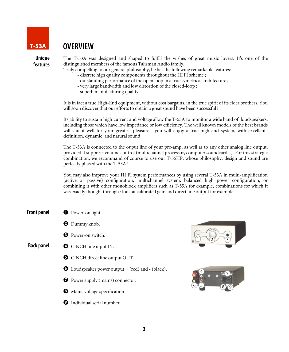

## OVERVIEW

Unique features The T-53A was designed and shaped to fulfill the wishes of great music lovers. It's one of the distinguished members of the famous Talisman Audio family.

Truly compelling to our general philosophy, he has the following remarkable features:

- discrete high quality components throughout the HI FI scheme ;
- outstanding performance of the open loop in a true symetrical architecture ;
- very large bandwidth and low distortion of the closed-loop ;
- superb manufacturing quality.

It is in fact a true High-End equipment, without cost bargains, in the true spirit of its elder brothers. You will soon discover that our efforts to obtain a great sound have been successful !

Its ability to sustain high current and voltage allow the T-53A to monitor a wide band of loudspeakers, including those which have low impedance or low efficiency. The well known models of the best brands will suit it well for your greatest pleasure : you will enjoy a true high end system, with excellent definition, dynamic, and natural sound !

The T-53A is connected to the ouput line of your pre-amp, as well as to any other analog line output, provided it supports volume control (multichannel processor, computer soundcard...). For this strategic combination, we recommand of course to use our T-35HP, whose philosophy, design and sound are perfectly phased with the T-53A !

You may also improve your HI FI system performances by using several T-53A in multi-amplification (active or passive) configuration, multichannel system, balanced high power configuration, or combining it with other monoblock amplifiers such as T-55A for example, combinations for which it was exactly thought through : look at calibrated gain and direct line output for example !

- Front panel **O** Power-on light.
	- **O** Dummy knob.
	- **8** Power-on switch.

#### Back panel **O** CINCH line input IN.

- $\Theta$  CINCH direct line output OUT.
- $\bullet$  Loudspeaker power output + (red) and (black).
- **D** Power supply (mains) connector.
- $\Theta$  Mains voltage specification.
- **O** Individual serial number.



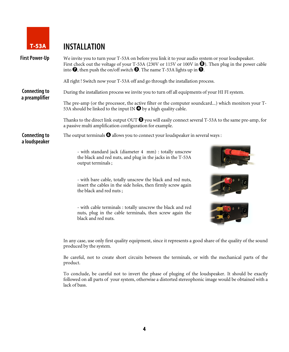

## T-53A INSTALLATION

| <b>First Power-Up</b>                  | We invite you to turn your T-53A on before you link it to your audio system or your loudspeaker.<br>First check out the voltage of your T-53A (230V or 115V or 100V in $\bullet$ ). Then plug in the power cable<br>into $\bullet$ , then push the on/off switch $\bullet$ . The name T-53A lights up in $\bullet$ . |  |  |
|----------------------------------------|----------------------------------------------------------------------------------------------------------------------------------------------------------------------------------------------------------------------------------------------------------------------------------------------------------------------|--|--|
|                                        | All right! Switch now your T-53A off and go through the installation process.                                                                                                                                                                                                                                        |  |  |
| <b>Connecting to</b><br>a preamplifier | During the installation process we invite you to turn off all equipments of your HI FI system.                                                                                                                                                                                                                       |  |  |
|                                        | The pre-amp (or the processor, the active filter or the computer soundcard) which monitors your T-<br>53A should be linked to the input IN $\bullet$ by a high quality cable.                                                                                                                                        |  |  |
|                                        | Thanks to the direct link output OUT $\Theta$ you will easily connect several T-53A to the same pre-amp, for<br>a passive multi amplification configuration for example.                                                                                                                                             |  |  |
| <b>Connecting to</b><br>a loudspeaker  | The output terminals $\bigcirc$ allows you to connect your loudspeaker in several ways:                                                                                                                                                                                                                              |  |  |
|                                        | - with standard jack (diameter 4 mm) : totally unscrew<br>the black and red nuts, and plug in the jacks in the T-53A<br>output terminals;                                                                                                                                                                            |  |  |
|                                        | - with bare cable, totally unscrew the black and red nuts,<br>insert the cables in the side holes, then firmly screw again<br>the black and red nuts;                                                                                                                                                                |  |  |
|                                        | - with cable terminals : totally unscrew the black and red<br>nuts, plug in the cable terminals, then screw again the<br>black and red nuts.                                                                                                                                                                         |  |  |
|                                        | In any case, use only first quality equipment, since it represents a good share of the quality of the sound<br>produced by the system.                                                                                                                                                                               |  |  |

Be careful, not to create short circuits between the terminals, or with the mechanical parts of the product.

To conclude, be careful not to invert the phase of pluging of the loudspeaker. It should be exactly followed on all parts of your system, otherwise a distorted stereophonic image would be obtained with a lack of bass.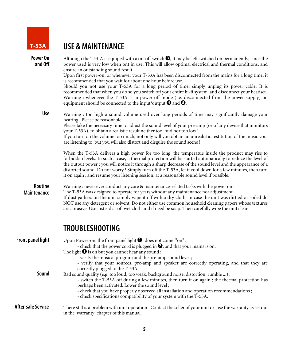

# T-53A USE & MAINTENANCE

| Power On<br>and Off       | Although the T53-A is equiped with a on-off switch $\Theta$ , it may be left switched on permanently, since the<br>power used is very low when ont in use. This will allow optimal electrical and thermal conditions, and<br>ensure an outstanding sound result.                                                                                                                                                                                                                                                                     |
|---------------------------|--------------------------------------------------------------------------------------------------------------------------------------------------------------------------------------------------------------------------------------------------------------------------------------------------------------------------------------------------------------------------------------------------------------------------------------------------------------------------------------------------------------------------------------|
|                           | Upon first power-on, or whenever your T-53A has been disconnected from the mains for a long time, it                                                                                                                                                                                                                                                                                                                                                                                                                                 |
|                           | is recommended that you wait for about one hour before use.<br>Should you not use your T-53A for a long period of time, simply unplug its power cable. It is<br>recommended that when you do so you switch off your entire hi-fi system and disconnect your headset.<br>Warning : whenever the T-53A is in power-off mode (i.e. disconnected from the power supply) no<br>equipment should be connected to the input/output $\bullet$ and $\bullet$ .                                                                                |
| <b>Use</b>                | Warning : too high a sound volume used over long periods of time may significantly damage your<br>hearing. Please be reasonable!<br>Please take the necessary time to adjust the sound level of your pre-amp (or of any device that monitors<br>your T-53A), to obtain a realistic result neither too loud nor too low!<br>If you turn on the volume too much, not only will you obtain an unrealistic restitution of the music you<br>are listening to, but you will also distort and disguise the sound scene !                    |
|                           | When the T-53A delivers a high power for too long, the temperatue inside the product may rise to<br>forbidden levels. In such a case, a thermal protection will be started automatically to reduce the level of<br>the output power : you will notice it through a sharp decrease of the sound level and the appearance of a<br>distorted sound. Do not worry ! Simply turn off the T-53A, let it cool down for a few minutes, then turn<br>it on again, and resume your listening session, at a reasonable sound level if possible. |
| Routine<br>Maintenance    | Warning : never ever conduct any care & maintenance-related tasks with the power on !<br>The T-53A was designed to operate for years without any maintenance nor adjustment.<br>If dust gathers on the unit simply wipe it off with a dry cloth. In case the unit was dirtied or soiled do<br>NOT use any detergent or solvent. Do not either use common household cleaning papers whose textures<br>are abrasive. Use instead a soft wet cloth and if need be soap. Then carefully wipe the unit clean.                             |
|                           | <b>TROUBLESHOOTING</b>                                                                                                                                                                                                                                                                                                                                                                                                                                                                                                               |
| <b>Front panel light</b>  | Upon Power-on, the front panel light $\bigcirc$ does not come "on":                                                                                                                                                                                                                                                                                                                                                                                                                                                                  |
|                           | - check that the power cord is plugged in $\bullet$ , and that your mains is on.<br>The light $\bigcirc$ is on but you cannot hear any sound :                                                                                                                                                                                                                                                                                                                                                                                       |
|                           | - verify the musical program and the pre-amp sound level;                                                                                                                                                                                                                                                                                                                                                                                                                                                                            |
|                           | - verify that your sources, pre-amp and speaker are correctly operating, and that they are<br>correctly plugged to the T-53A                                                                                                                                                                                                                                                                                                                                                                                                         |
| Sound                     | Bad sound quality (e.g. too loud, too weak, background noise, distortion, rumble ) :<br>- switch the T-53A off during a few minutes, then turn it on again; the thermal protection has<br>perhaps been activated. Lower the sound level;<br>- check that you have properly observed all installation and operation recommendations;<br>- check specifications compatibility of your system with the T-53A.                                                                                                                           |
| <b>After-sale Service</b> | There still is a problem with unit operation. Contact the seller of your unit or use the warranty as set out<br>in the 'warranty' chapter of this manual.                                                                                                                                                                                                                                                                                                                                                                            |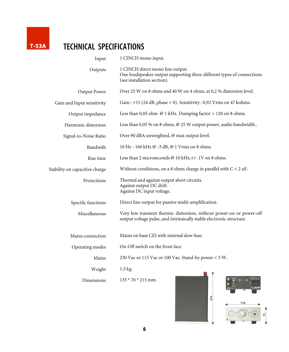

# T-53A TECHNICAL SPECIFICATIONS

| Input                          | 1 CINCH mono input.                                                                                                                          |
|--------------------------------|----------------------------------------------------------------------------------------------------------------------------------------------|
| Outputs                        | 1 CINCH direct mono line output.<br>One loudspeaker output supporting three different types of connections<br>(see installation section).    |
| Output Power                   | Over 25 W on 8 ohms and 40 W on 4 ohms, at 0,2 % distorsion level.                                                                           |
| Gain and Input sensitivity     | Gain: $+15$ (24 dB, phase = 0). Sensitivity: 0,92 Vrms on 47 kohms.                                                                          |
| Output impedance               | Less than 0,05 ohm $@1$ kHz. Dumping factor $> 120$ on 8 ohms.                                                                               |
| Harmonic distorsion            | Less than 0,05 % on 8 ohms, @ 25 W output power, audio bandwidth                                                                             |
| Signal-to-Noise Ratio          | Over 90 dBA unweighted, @ max output level.                                                                                                  |
| Bandwith                       | 10 Hz - 160 kHz @ -3 dB, @ 1 Vrms on 8 ohms.                                                                                                 |
| Rise time                      | Less than 2 microseconds @ 10 kHz,+/- 1V on 8 ohms.                                                                                          |
| Stability on capacitive charge | Without conditions, on a 8 ohms charge in parallel with $C < 2$ uF.                                                                          |
| Protections                    | Thermal and against output short circuits.<br>Against output DC drift.<br>Against DC input voltage.                                          |
| Specific functions             | Direct line output for passive multi-amplification.                                                                                          |
| Miscellaneous                  | Very low transient thermic distorsion, without power-on or power-off<br>output voltage pulse, and intrinsically stable electronic structure. |
| Mains connection               | Mains on base CEI with internal slow fuse.                                                                                                   |
| Operating modes                | On-Off switch on the front face.                                                                                                             |
| Mains                          | 230 Vac or 115 Vac or 100 Vac. Stand-by power < 5 W.                                                                                         |
| Weight                         | $1,5$ kg.                                                                                                                                    |
| Dimensions                     | $135 * 70 * 215$ mm.                                                                                                                         |

215

135

 $\overline{2}$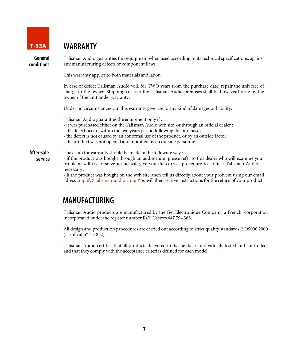

#### T-53A WARRANTY

General conditions Talisman Audio guaranties this equipment when used according to its technical specifications, against any manufacturing defects or component flaws.

This warranty applies to both materials and labor.

In case of defect Talisman Audio will, for TWO years from the purchase date, repair the unit free of charge to the owner. Shipping costs to the Talisman Audio premises shall be however borne by the owner of the unit under warranty.

Under no circumstances can this warranty give rise to any kind of damages or liability.

Talisman Audio guaranties the equipment only if :

- it was purchased either on the Talisman Audio web site, or through an official dealer ;
- the defect occurs within the two years period following the purchase ;
- the defect is not caused by an abnormal use of the product, or by an outside factor ;
- the product was not opened and modified by an outside personne.

#### The claim for warranty should be made in the following way : After-sale service

- if the product was bought through an auditorium, please refer to this dealer who will examine your problem, will try to solve it and will give you the correct procedure to contact Talisman Audio, if necessary ;

- if the product was bought on the web site, then tell us directly about your problem using our email adress amplify@talisman-audio.com. You will then receive instructions for the return of your product.

### MANUFACTURING

Talisman Audio products are manufactured by the Get Electronique Company, a French corporation incorporated under the register number RCS Castres 447 794 363.

All design and production procedures are carried out according to strict quality standards ISO9000:2000 (certificat n°124 832).

Talisman Audio certifies that all products delivered to its clients are individually tested and controlled, and that they comply with the acceptance criterias defined for each model.